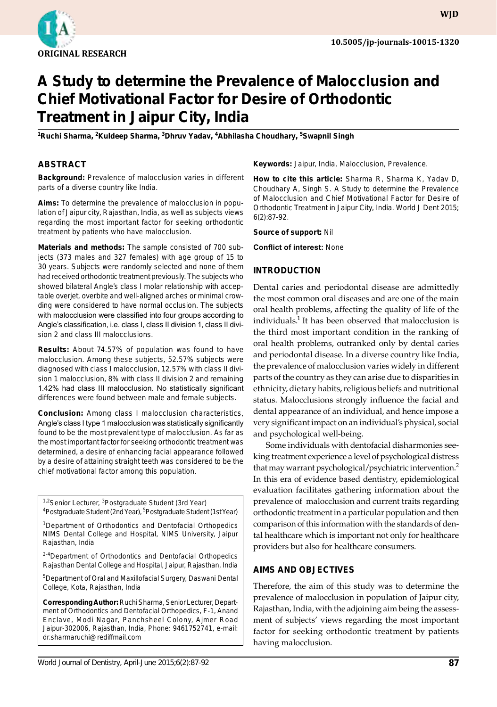

**WJD**

# **A Study to determine the Prevalence of Malocclusion and Chief Motivational Factor for Desire of Orthodontic Treatment in Jaipur City, India**

<sup>1</sup>Ruchi Sharma, <sup>2</sup>Kuldeep Sharma, <sup>3</sup>Dhruv Yadav, <sup>4</sup>Abhilasha Choudhary, <sup>5</sup>Swapnil Singh

#### **ABSTRACT**

**Background:** Prevalence of malocclusion varies in different parts of a diverse country like India.

**Aims:** To determine the prevalence of malocclusion in population of Jaipur city, Rajasthan, India, as well as subjects views regarding the most important factor for seeking orthodontic treatment by patients who have malocclusion.

**Materials and methods:** The sample consisted of 700 subjects (373 males and 327 females) with age group of 15 to 30 years. Subjects were randomly selected and none of them had received orthodontic treatment previously. The subjects who showed bilateral Angle's class I molar relationship with acceptable overjet, overbite and well-aligned arches or minimal crowding were considered to have normal occlusion. The subjects with malocclusion were classified into four groups according to Angle's classification, i.e. class I, class II division 1, class II division 2 and class III malocclusions.

**Results:** About 74.57% of population was found to have malocclusion. Among these subjects, 52.57% subjects were diagnosed with class I malocclusion, 12.57% with class II division 1 malocclusion, 8% with class II division 2 and remaining 1.42% had class III malocclusion. No statistically significant differences were found between male and female subjects.

**Conclusion:** Among class I malocclusion characteristics, Angle's class I type 1 malocclusion was statistically significantly found to be the most prevalent type of malocclusion. As far as the most important factor for seeking orthodontic treatment was determined, a desire of enhancing facial appearance followed by a desire of attaining straight teeth was considered to be the chief motivational factor among this population.

<sup>1,2</sup>Senior Lecturer, <sup>3</sup>Postgraduate Student (3rd Year) <sup>4</sup>Postgraduate Student (2nd Year), <sup>5</sup>Postgraduate Student (1st Year)

<sup>1</sup>Department of Orthodontics and Dentofacial Orthopedics NIMS Dental College and Hospital, NIMS University, Jaipur Rajasthan, India

<sup>2-4</sup>Department of Orthodontics and Dentofacial Orthopedics Rajasthan Dental College and Hospital, Jaipur, Rajasthan, India

5 Department of Oral and Maxillofacial Surgery, Daswani Dental College, Kota, Rajasthan, India

**Corresponding Author:** Ruchi Sharma, Senior Lecturer, Department of Orthodontics and Dentofacial Orthopedics, F-1, Anand Enclave, Modi Nagar, Panchsheel Colony, Ajmer Road Jaipur-302006, Rajasthan, India, Phone: 9461752741, e-mail: dr.sharmaruchi@rediffmail.com

**Keywords:** Jaipur, India, Malocclusion, Prevalence.

**How to cite this article:** Sharma R, Sharma K, Yadav D, Choudhary A, Singh S. A Study to determine the Prevalence of Malocclusion and Chief Motivational Factor for Desire of Orthodontic Treatment in Jaipur City, India. World J Dent 2015; 6(2):87-92.

**Source of support:** Nil

**Conflict of interest:** None

#### **Introduction**

Dental caries and periodontal disease are admittedly the most common oral diseases and are one of the main oral health problems, affecting the quality of life of the individuals.<sup>1</sup> It has been observed that malocclusion is the third most important condition in the ranking of oral health problems, outranked only by dental caries and periodontal disease. In a diverse country like India, the prevalence of malocclusion varies widely in different parts of the country as they can arise due to disparities in ethnicity, dietary habits, religious beliefs and nutritional status. Malocclusions strongly influence the facial and dental appearance of an individual, and hence impose a very significant impact on an individual's physical, social and psychological well-being.

Some individuals with dentofacial disharmonies seeking treatment experience a level of psychological distress that may warrant psychological/psychiatric intervention.<sup>2</sup> In this era of evidence based dentistry, epidemiological evaluation facilitates gathering information about the prevalence of malocclusion and current traits regarding orthodontic treatment in a particular population and then comparison of this information with the standards of dental healthcare which is important not only for healthcare providers but also for healthcare consumers.

#### **Aims and Objectives**

Therefore, the aim of this study was to determine the prevalence of malocclusion in population of Jaipur city, Rajasthan, India, with the adjoining aim being the assessment of subjects' views regarding the most important factor for seeking orthodontic treatment by patients having malocclusion.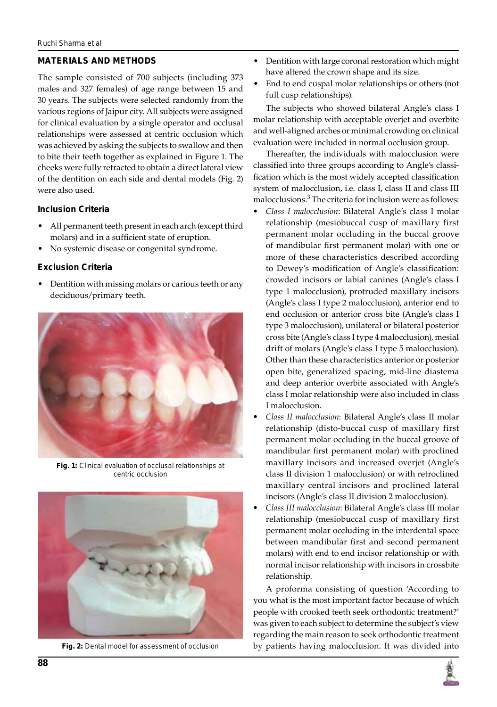#### **Materials and methods**

The sample consisted of 700 subjects (including 373 males and 327 females) of age range between 15 and 30 years. The subjects were selected randomly from the various regions of Jaipur city. All subjects were assigned for clinical evaluation by a single operator and occlusal relationships were assessed at centric occlusion which was achieved by asking the subjects to swallow and then to bite their teeth together as explained in Figure 1. The cheeks were fully retracted to obtain a direct lateral view of the dentition on each side and dental models (Fig. 2) were also used.

#### **Inclusion Criteria**

- All permanent teeth present in each arch (except third molars) and in a sufficient state of eruption.
- No systemic disease or congenital syndrome.

## **Exclusion Criteria**

• Dentition with missing molars or carious teeth or any deciduous/primary teeth.



**Fig. 1:** Clinical evaluation of occlusal relationships at centric occlusion



**Fig. 2:** Dental model for assessment of occlusion

- Dentition with large coronal restoration which might have altered the crown shape and its size.
- End to end cuspal molar relationships or others (not full cusp relationships).

The subjects who showed bilateral Angle's class I molar relationship with acceptable overjet and overbite and well-aligned arches or minimal crowding on clinical evaluation were included in normal occlusion group.

Thereafter, the individuals with malocclusion were classified into three groups according to Angle's classification which is the most widely accepted classification system of malocclusion, i.e. class I, class II and class III malocclusions.<sup>3</sup> The criteria for inclusion were as follows:

- *• Class I malocclusion*: Bilateral Angle's class I molar relationship (mesiobuccal cusp of maxillary first permanent molar occluding in the buccal groove of mandibular first permanent molar) with one or more of these characteristics described according to Dewey's modification of Angle's classification: crowded incisors or labial canines (Angle's class I type 1 malocclusion), protruded maxillary incisors (Angle's class I type 2 malocclusion), anterior end to end occlusion or anterior cross bite (Angle's class I type 3 malocclusion), unilateral or bilateral posterior cross bite (Angle's class I type 4 malocclusion), mesial drift of molars (Angle's class I type 5 malocclusion). Other than these characteristics anterior or posterior open bite, generalized spacing, mid-line diastema and deep anterior overbite associated with Angle's class I molar relationship were also included in class I malocclusion.
- *• Class II malocclusion*: Bilateral Angle's class II molar relationship (disto-buccal cusp of maxillary first permanent molar occluding in the buccal groove of mandibular first permanent molar) with proclined maxillary incisors and increased overjet (Angle's class II division 1 malocclusion) or with retroclined maxillary central incisors and proclined lateral incisors (Angle's class II division 2 malocclusion).
- *• Class III malocclusion*: Bilateral Angle's class III molar relationship (mesiobuccal cusp of maxillary first permanent molar occluding in the interdental space between mandibular first and second permanent molars) with end to end incisor relationship or with normal incisor relationship with incisors in crossbite relationship.

A proforma consisting of question 'According to you what is the most important factor because of which people with crooked teeth seek orthodontic treatment?' was given to each subject to determine the subject's view regarding the main reason to seek orthodontic treatment by patients having malocclusion. It was divided into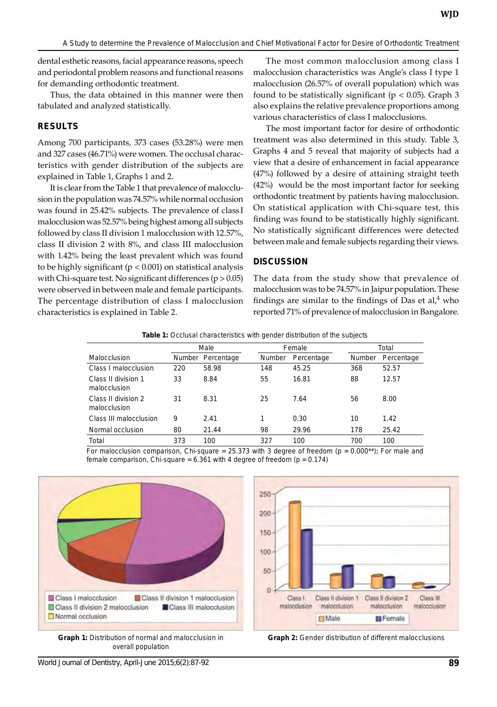dental esthetic reasons, facial appearance reasons, speech and periodontal problem reasons and functional reasons for demanding orthodontic treatment.

Thus, the data obtained in this manner were then tabulated and analyzed statistically.

#### **Results**

Among 700 participants, 373 cases (53.28%) were men and 327 cases (46.71%) were women. The occlusal characteristics with gender distribution of the subjects are explained in Table 1, Graphs 1 and 2.

It is clear from the Table 1 that prevalence of malocclusion in the population was 74.57% while normal occlusion was found in 25.42% subjects. The prevalence of class I malocclusion was 52.57% being highest among all subjects followed by class II division 1 malocclusion with 12.57%, class II division 2 with 8%, and class III malocclusion with 1.42% being the least prevalent which was found to be highly significant (p < 0.001) on statistical analysis with Chi-square test. No significant differences  $(p > 0.05)$ were observed in between male and female participants. The percentage distribution of class I malocclusion characteristics is explained in Table 2.

The most common malocclusion among class I malocclusion characteristics was Angle's class I type 1 malocclusion (26.57% of overall population) which was found to be statistically significant ( $p < 0.05$ ). Graph 3 also explains the relative prevalence proportions among various characteristics of class I malocclusions.

The most important factor for desire of orthodontic treatment was also determined in this study. Table 3, Graphs 4 and 5 reveal that majority of subjects had a view that a desire of enhancement in facial appearance (47%) followed by a desire of attaining straight teeth (42%) would be the most important factor for seeking orthodontic treatment by patients having malocclusion. On statistical application with Chi-square test, this finding was found to be statistically highly significant. No statistically significant differences were detected between male and female subjects regarding their views.

#### **Discussion**

The data from the study show that prevalence of malocclusion was to be 74.57% in Jaipur population. These findings are similar to the findings of Das et  $al, 4$  who reported 71% of prevalence of malocclusion in Bangalore.

|                                     | Male   |            | Female |            | Total  |            |
|-------------------------------------|--------|------------|--------|------------|--------|------------|
| Malocclusion                        | Number | Percentage | Number | Percentage | Number | Percentage |
| Class I malocclusion                | 220    | 58.98      | 148    | 45.25      | 368    | 52.57      |
| Class II division 1<br>malocclusion | 33     | 8.84       | 55     | 16.81      | 88     | 12.57      |
| Class II division 2<br>malocclusion | 31     | 8.31       | 25     | 7.64       | 56     | 8.00       |
| Class III malocclusion              | 9      | 2.41       | 1      | 0.30       | 10     | 1.42       |
| Normal occlusion                    | 80     | 21.44      | 98     | 29.96      | 178    | 25.42      |
| Total                               | 373    | 100        | 327    | 100        | 700    | 100        |

For malocclusion comparison, Chi-square = 25.373 with 3 degree of freedom ( $p = 0.000**$ ); For male and female comparison, Chi-square =  $6.361$  with 4 degree of freedom ( $p = 0.174$ )



**Graph 1:** Distribution of normal and malocclusion in overall population



**Graph 2:** Gender distribution of different malocclusions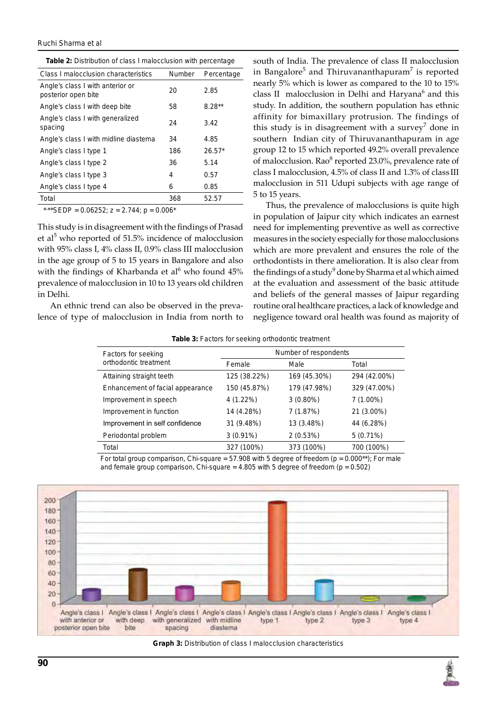#### *Ruchi Sharma et al*

| Class I malocclusion characteristics                    | Number | Percentage |
|---------------------------------------------------------|--------|------------|
| Angle's class I with anterior or<br>posterior open bite | 20     | 2.85       |
| Angle's class I with deep bite                          | 58     | $8.28**$   |
| Angle's class I with generalized<br>spacing             | 24     | 3.42       |
| Angle's class I with midline diastema                   | 34     | 4.85       |
| Angle's class I type 1                                  | 186    | $26.57*$   |
| Angle's class I type 2                                  | 36     | 5.14       |
| Angle's class I type 3                                  | 4      | 0.57       |
| Angle's class I type 4                                  | 6      | 0.85       |
| Total                                                   | 368    | 52.57      |

\*,\*\*SEDP =  $0.06252$ ; z =  $2.744$ ; p =  $0.006$ \*

This study is in disagreement with the findings of Prasad et al<sup>5</sup> who reported of 51.5% incidence of malocclusion with 95% class I, 4% class II, 0.9% class III malocclusion in the age group of 5 to 15 years in Bangalore and also with the findings of Kharbanda et al<sup>6</sup> who found  $45%$ prevalence of malocclusion in 10 to 13 years old children in Delhi.

An ethnic trend can also be observed in the prevalence of type of malocclusion in India from north to

south of India. The prevalence of class II malocclusion in Bangalore<sup>5</sup> and Thiruvananthapuram<sup>7</sup> is reported nearly 5% which is lower as compared to the 10 to 15% class II malocclusion in Delhi and Haryana<sup>6</sup> and this study. In addition, the southern population has ethnic affinity for bimaxillary protrusion. The findings of this study is in disagreement with a survey<sup>7</sup> done in southern Indian city of Thiruvananthapuram in age group 12 to 15 which reported 49.2% overall prevalence of malocclusion. Rao<sup>8</sup> reported 23.0%, prevalence rate of class I malocclusion, 4.5% of class II and 1.3% of class III malocclusion in 511 Udupi subjects with age range of 5 to 15 years.

Thus, the prevalence of malocclusions is quite high in population of Jaipur city which indicates an earnest need for implementing preventive as well as corrective measures in the society especially for those malocclusions which are more prevalent and ensures the role of the orthodontists in there amelioration. It is also clear from the findings of a study<sup>9</sup> done by Sharma et al which aimed at the evaluation and assessment of the basic attitude and beliefs of the general masses of Jaipur regarding routine oral healthcare practices, a lack of knowledge and negligence toward oral health was found as majority of

**Table 3:** Factors for seeking orthodontic treatment

| Factors for seeking              | Number of respondents |              |              |  |
|----------------------------------|-----------------------|--------------|--------------|--|
| orthodontic treatment            | Female                | Male         | Total        |  |
| Attaining straight teeth         | 125 (38.22%)          | 169 (45.30%) | 294 (42.00%) |  |
| Enhancement of facial appearance | 150 (45.87%)          | 179 (47.98%) | 329 (47.00%) |  |
| Improvement in speech            | 4 (1.22%)             | $3(0.80\%)$  | $7(1.00\%)$  |  |
| Improvement in function          | 14 (4.28%)            | 7(1.87%)     | 21 (3.00%)   |  |
| Improvement in self confidence   | 31 (9.48%)            | 13 (3.48%)   | 44 (6.28%)   |  |
| Periodontal problem              | $3(0.91\%)$           | 2(0.53%)     | $5(0.71\%)$  |  |
| Total                            | 327 (100%)            | 373 (100%)   | 700 (100%)   |  |
|                                  |                       |              |              |  |

For total group comparison, Chi-square = 57.908 with 5 degree of freedom ( $p = 0.000**$ ); For male and female group comparison, Chi-square =  $4.805$  with 5 degree of freedom ( $p = 0.502$ )



**Graph 3:** Distribution of class I malocclusion characteristics

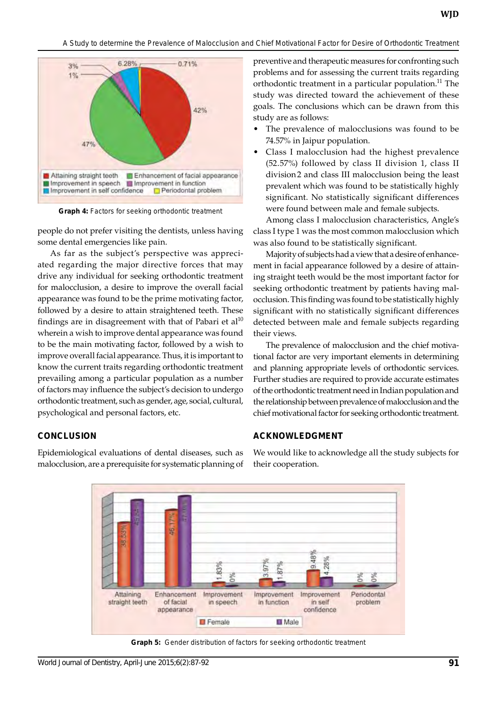

**Graph 4:** Factors for seeking orthodontic treatment

people do not prefer visiting the dentists, unless having some dental emergencies like pain.

As far as the subject's perspective was appreciated regarding the major directive forces that may drive any individual for seeking orthodontic treatment for malocclusion, a desire to improve the overall facial appearance was found to be the prime motivating factor, followed by a desire to attain straightened teeth. These findings are in disagreement with that of Pabari et al<sup>10</sup> wherein a wish to improve dental appearance was found to be the main motivating factor, followed by a wish to improve overall facial appearance. Thus, it is important to know the current traits regarding orthodontic treatment prevailing among a particular population as a number of factors may influence the subject's decision to undergo orthodontic treatment, such as gender, age, social, cultural, psychological and personal factors, etc.

# **Conclusion**

Epidemiological evaluations of dental diseases, such as malocclusion, are a prerequisite for systematic planning of preventive and therapeutic measures for confronting such problems and for assessing the current traits regarding orthodontic treatment in a particular population.<sup>11</sup> The study was directed toward the achievement of these goals. The conclusions which can be drawn from this study are as follows:

- The prevalence of malocclusions was found to be 74.57% in Jaipur population.
- Class I malocclusion had the highest prevalence (52.57%) followed by class II division 1, class II division2 and class III malocclusion being the least prevalent which was found to be statistically highly significant. No statistically significant differences were found between male and female subjects.

Among class I malocclusion characteristics, Angle's class I type 1 was the most common malocclusion which was also found to be statistically significant.

Majority of subjects had a view that a desire of enhance ment in facial appearance followed by a desire of attaining straight teeth would be the most important factor for seeking orthodontic treatment by patients having malocclusion. This finding was found to be statistically highly significant with no statistically significant differences detected between male and female subjects regarding their views.

The prevalence of malocclusion and the chief motivational factor are very important elements in determining and planning appropriate levels of orthodontic services. Further studies are required to provide accurate estimates of the orthodontic treatment need in Indian population and the relationship between prevalence of malocclusion and the chief motivational factor for seeking orthodontic treatment.

## **ACKNOWLEDGMENT**

We would like to acknowledge all the study subjects for their cooperation.



**Graph 5:** Gender distribution of factors for seeking orthodontic treatment